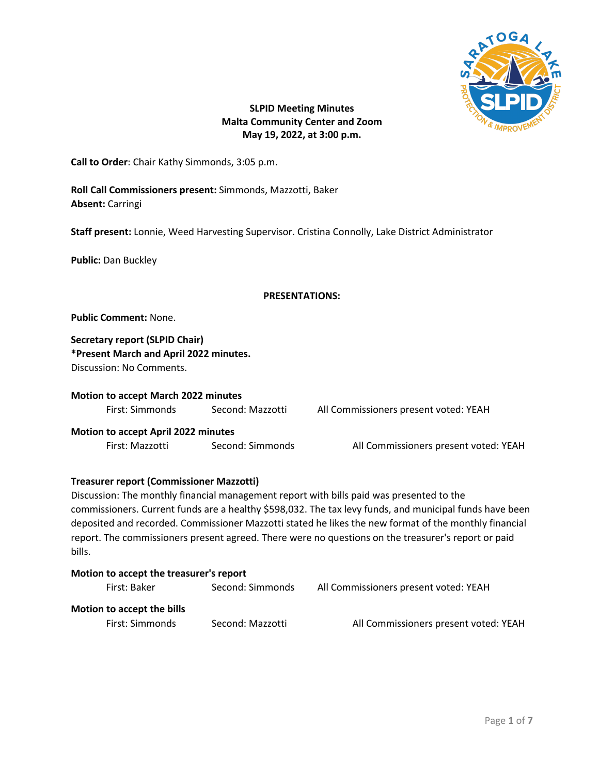

# **SLPID Meeting Minutes Malta Community Center and Zoom May 19, 2022, at 3:00 p.m.**

**Call to Order**: Chair Kathy Simmonds, 3:05 p.m.

**Roll Call Commissioners present:** Simmonds, Mazzotti, Baker **Absent:** Carringi

**Staff present:** Lonnie, Weed Harvesting Supervisor. Cristina Connolly, Lake District Administrator

**Public:** Dan Buckley

## **PRESENTATIONS:**

**Public Comment:** None.

**Secretary report (SLPID Chair) \*Present March and April 2022 minutes.** Discussion: No Comments.

**Motion to accept March 2022 minutes** First: Simmonds Second: Mazzotti All Commissioners present voted: YEAH

**Motion to accept April 2022 minutes** First: Mazzotti Second: Simmonds All Commissioners present voted: YEAH

## **Treasurer report (Commissioner Mazzotti)**

Discussion: The monthly financial management report with bills paid was presented to the commissioners. Current funds are a healthy \$598,032. The tax levy funds, and municipal funds have been deposited and recorded. Commissioner Mazzotti stated he likes the new format of the monthly financial report. The commissioners present agreed. There were no questions on the treasurer's report or paid bills.

| Motion to accept the treasurer's report |                  |                                       |  |  |
|-----------------------------------------|------------------|---------------------------------------|--|--|
| First: Baker                            | Second: Simmonds | All Commissioners present voted: YEAH |  |  |
| Motion to accept the bills              |                  |                                       |  |  |
| First: Simmonds                         | Second: Mazzotti | All Commissioners present voted: YEAH |  |  |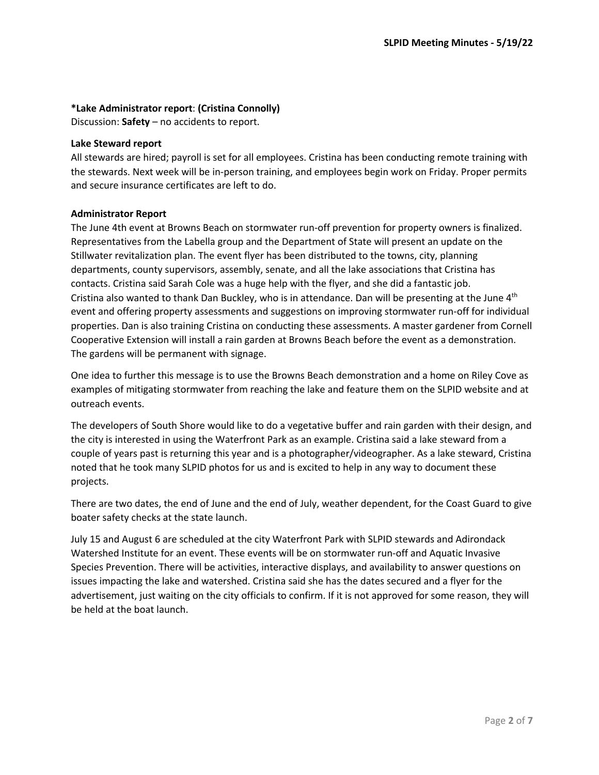## **\*Lake Administrator report**: **(Cristina Connolly)**

Discussion: **Safety** – no accidents to report.

#### **Lake Steward report**

All stewards are hired; payroll is set for all employees. Cristina has been conducting remote training with the stewards. Next week will be in-person training, and employees begin work on Friday. Proper permits and secure insurance certificates are left to do.

## **Administrator Report**

The June 4th event at Browns Beach on stormwater run-off prevention for property owners is finalized. Representatives from the Labella group and the Department of State will present an update on the Stillwater revitalization plan. The event flyer has been distributed to the towns, city, planning departments, county supervisors, assembly, senate, and all the lake associations that Cristina has contacts. Cristina said Sarah Cole was a huge help with the flyer, and she did a fantastic job. Cristina also wanted to thank Dan Buckley, who is in attendance. Dan will be presenting at the June 4<sup>th</sup> event and offering property assessments and suggestions on improving stormwater run-off for individual properties. Dan is also training Cristina on conducting these assessments. A master gardener from Cornell Cooperative Extension will install a rain garden at Browns Beach before the event as a demonstration. The gardens will be permanent with signage.

One idea to further this message is to use the Browns Beach demonstration and a home on Riley Cove as examples of mitigating stormwater from reaching the lake and feature them on the SLPID website and at outreach events.

The developers of South Shore would like to do a vegetative buffer and rain garden with their design, and the city is interested in using the Waterfront Park as an example. Cristina said a lake steward from a couple of years past is returning this year and is a photographer/videographer. As a lake steward, Cristina noted that he took many SLPID photos for us and is excited to help in any way to document these projects.

There are two dates, the end of June and the end of July, weather dependent, for the Coast Guard to give boater safety checks at the state launch.

July 15 and August 6 are scheduled at the city Waterfront Park with SLPID stewards and Adirondack Watershed Institute for an event. These events will be on stormwater run-off and Aquatic Invasive Species Prevention. There will be activities, interactive displays, and availability to answer questions on issues impacting the lake and watershed. Cristina said she has the dates secured and a flyer for the advertisement, just waiting on the city officials to confirm. If it is not approved for some reason, they will be held at the boat launch.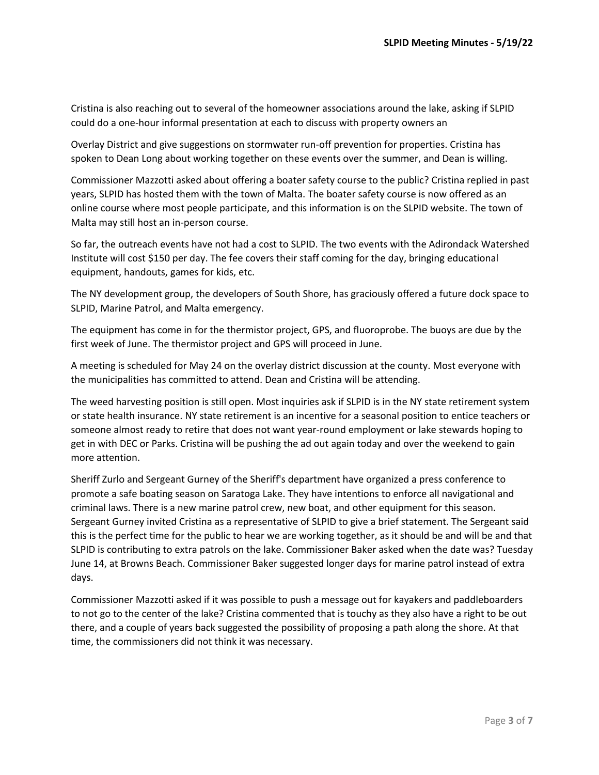Cristina is also reaching out to several of the homeowner associations around the lake, asking if SLPID could do a one-hour informal presentation at each to discuss with property owners an

Overlay District and give suggestions on stormwater run-off prevention for properties. Cristina has spoken to Dean Long about working together on these events over the summer, and Dean is willing.

Commissioner Mazzotti asked about offering a boater safety course to the public? Cristina replied in past years, SLPID has hosted them with the town of Malta. The boater safety course is now offered as an online course where most people participate, and this information is on the SLPID website. The town of Malta may still host an in-person course.

So far, the outreach events have not had a cost to SLPID. The two events with the Adirondack Watershed Institute will cost \$150 per day. The fee covers their staff coming for the day, bringing educational equipment, handouts, games for kids, etc.

The NY development group, the developers of South Shore, has graciously offered a future dock space to SLPID, Marine Patrol, and Malta emergency.

The equipment has come in for the thermistor project, GPS, and fluoroprobe. The buoys are due by the first week of June. The thermistor project and GPS will proceed in June.

A meeting is scheduled for May 24 on the overlay district discussion at the county. Most everyone with the municipalities has committed to attend. Dean and Cristina will be attending.

The weed harvesting position is still open. Most inquiries ask if SLPID is in the NY state retirement system or state health insurance. NY state retirement is an incentive for a seasonal position to entice teachers or someone almost ready to retire that does not want year-round employment or lake stewards hoping to get in with DEC or Parks. Cristina will be pushing the ad out again today and over the weekend to gain more attention.

Sheriff Zurlo and Sergeant Gurney of the Sheriff's department have organized a press conference to promote a safe boating season on Saratoga Lake. They have intentions to enforce all navigational and criminal laws. There is a new marine patrol crew, new boat, and other equipment for this season. Sergeant Gurney invited Cristina as a representative of SLPID to give a brief statement. The Sergeant said this is the perfect time for the public to hear we are working together, as it should be and will be and that SLPID is contributing to extra patrols on the lake. Commissioner Baker asked when the date was? Tuesday June 14, at Browns Beach. Commissioner Baker suggested longer days for marine patrol instead of extra days.

Commissioner Mazzotti asked if it was possible to push a message out for kayakers and paddleboarders to not go to the center of the lake? Cristina commented that is touchy as they also have a right to be out there, and a couple of years back suggested the possibility of proposing a path along the shore. At that time, the commissioners did not think it was necessary.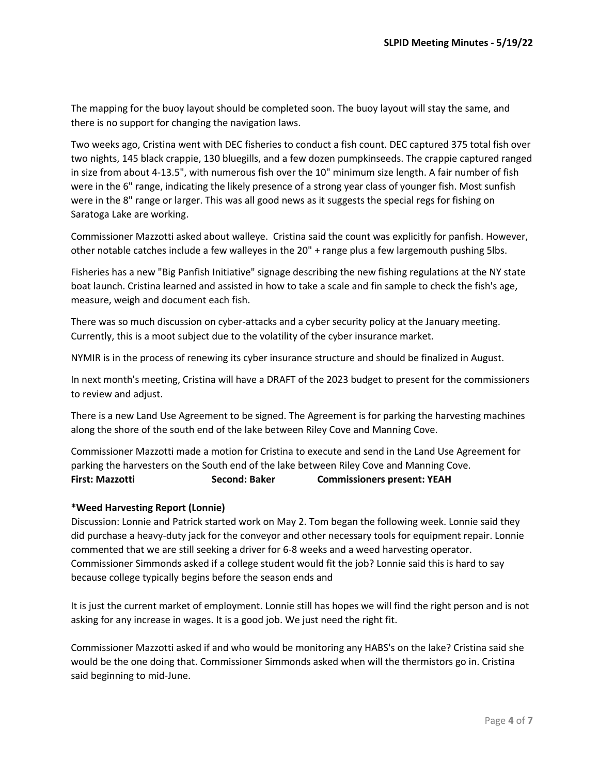The mapping for the buoy layout should be completed soon. The buoy layout will stay the same, and there is no support for changing the navigation laws.

Two weeks ago, Cristina went with DEC fisheries to conduct a fish count. DEC captured 375 total fish over two nights, 145 black crappie, 130 bluegills, and a few dozen pumpkinseeds. The crappie captured ranged in size from about 4-13.5", with numerous fish over the 10" minimum size length. A fair number of fish were in the 6" range, indicating the likely presence of a strong year class of younger fish. Most sunfish were in the 8" range or larger. This was all good news as it suggests the special regs for fishing on Saratoga Lake are working.

Commissioner Mazzotti asked about walleye. Cristina said the count was explicitly for panfish. However, other notable catches include a few walleyes in the 20" + range plus a few largemouth pushing 5lbs.

Fisheries has a new "Big Panfish Initiative" signage describing the new fishing regulations at the NY state boat launch. Cristina learned and assisted in how to take a scale and fin sample to check the fish's age, measure, weigh and document each fish.

There was so much discussion on cyber-attacks and a cyber security policy at the January meeting. Currently, this is a moot subject due to the volatility of the cyber insurance market.

NYMIR is in the process of renewing its cyber insurance structure and should be finalized in August.

In next month's meeting, Cristina will have a DRAFT of the 2023 budget to present for the commissioners to review and adjust.

There is a new Land Use Agreement to be signed. The Agreement is for parking the harvesting machines along the shore of the south end of the lake between Riley Cove and Manning Cove.

Commissioner Mazzotti made a motion for Cristina to execute and send in the Land Use Agreement for parking the harvesters on the South end of the lake between Riley Cove and Manning Cove. **First: Mazzotti Second: Baker Commissioners present: YEAH**

## **\*Weed Harvesting Report (Lonnie)**

Discussion: Lonnie and Patrick started work on May 2. Tom began the following week. Lonnie said they did purchase a heavy-duty jack for the conveyor and other necessary tools for equipment repair. Lonnie commented that we are still seeking a driver for 6-8 weeks and a weed harvesting operator. Commissioner Simmonds asked if a college student would fit the job? Lonnie said this is hard to say because college typically begins before the season ends and

It is just the current market of employment. Lonnie still has hopes we will find the right person and is not asking for any increase in wages. It is a good job. We just need the right fit.

Commissioner Mazzotti asked if and who would be monitoring any HABS's on the lake? Cristina said she would be the one doing that. Commissioner Simmonds asked when will the thermistors go in. Cristina said beginning to mid-June.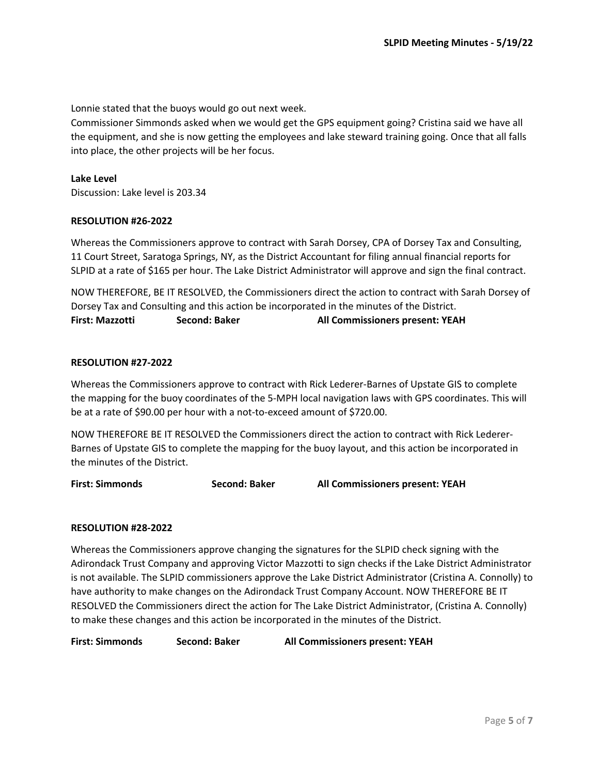Lonnie stated that the buoys would go out next week.

Commissioner Simmonds asked when we would get the GPS equipment going? Cristina said we have all the equipment, and she is now getting the employees and lake steward training going. Once that all falls into place, the other projects will be her focus.

### **Lake Level**

Discussion: Lake level is 203.34

#### **RESOLUTION #26-2022**

Whereas the Commissioners approve to contract with Sarah Dorsey, CPA of Dorsey Tax and Consulting, 11 Court Street, Saratoga Springs, NY, as the District Accountant for filing annual financial reports for SLPID at a rate of \$165 per hour. The Lake District Administrator will approve and sign the final contract.

NOW THEREFORE, BE IT RESOLVED, the Commissioners direct the action to contract with Sarah Dorsey of Dorsey Tax and Consulting and this action be incorporated in the minutes of the District. **First: Mazzotti Second: Baker All Commissioners present: YEAH**

#### **RESOLUTION #27-2022**

Whereas the Commissioners approve to contract with Rick Lederer-Barnes of Upstate GIS to complete the mapping for the buoy coordinates of the 5-MPH local navigation laws with GPS coordinates. This will be at a rate of \$90.00 per hour with a not-to-exceed amount of \$720.00.

NOW THEREFORE BE IT RESOLVED the Commissioners direct the action to contract with Rick Lederer-Barnes of Upstate GIS to complete the mapping for the buoy layout, and this action be incorporated in the minutes of the District.

**First: Simmonds Second: Baker All Commissioners present: YEAH**

#### **RESOLUTION #28-2022**

Whereas the Commissioners approve changing the signatures for the SLPID check signing with the Adirondack Trust Company and approving Victor Mazzotti to sign checks if the Lake District Administrator is not available. The SLPID commissioners approve the Lake District Administrator (Cristina A. Connolly) to have authority to make changes on the Adirondack Trust Company Account. NOW THEREFORE BE IT RESOLVED the Commissioners direct the action for The Lake District Administrator, (Cristina A. Connolly) to make these changes and this action be incorporated in the minutes of the District.

**First: Simmonds Second: Baker All Commissioners present: YEAH**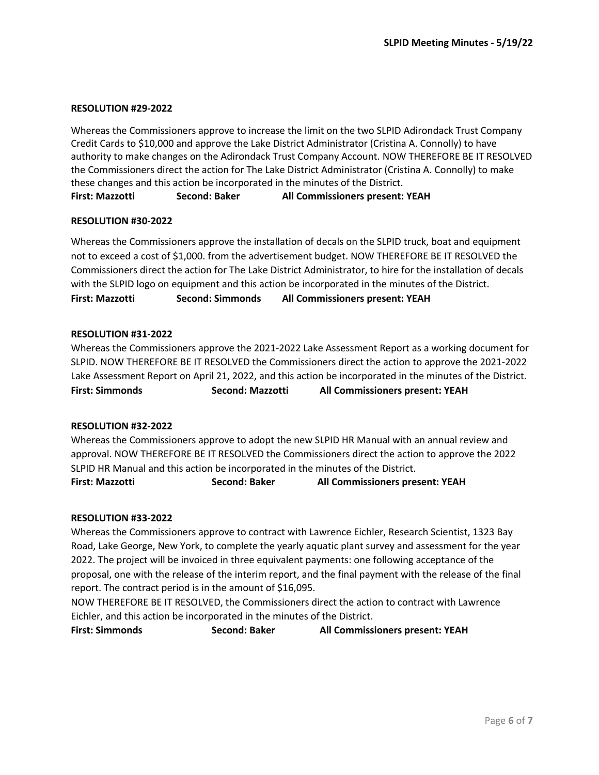#### **RESOLUTION #29-2022**

Whereas the Commissioners approve to increase the limit on the two SLPID Adirondack Trust Company Credit Cards to \$10,000 and approve the Lake District Administrator (Cristina A. Connolly) to have authority to make changes on the Adirondack Trust Company Account. NOW THEREFORE BE IT RESOLVED the Commissioners direct the action for The Lake District Administrator (Cristina A. Connolly) to make these changes and this action be incorporated in the minutes of the District.

**First: Mazzotti Second: Baker All Commissioners present: YEAH**

## **RESOLUTION #30-2022**

Whereas the Commissioners approve the installation of decals on the SLPID truck, boat and equipment not to exceed a cost of \$1,000. from the advertisement budget. NOW THEREFORE BE IT RESOLVED the Commissioners direct the action for The Lake District Administrator, to hire for the installation of decals with the SLPID logo on equipment and this action be incorporated in the minutes of the District. **First: Mazzotti Second: Simmonds All Commissioners present: YEAH**

### **RESOLUTION #31-2022**

Whereas the Commissioners approve the 2021-2022 Lake Assessment Report as a working document for SLPID. NOW THEREFORE BE IT RESOLVED the Commissioners direct the action to approve the 2021-2022 Lake Assessment Report on April 21, 2022, and this action be incorporated in the minutes of the District. **First: Simmonds Second: Mazzotti All Commissioners present: YEAH**

#### **RESOLUTION #32-2022**

Whereas the Commissioners approve to adopt the new SLPID HR Manual with an annual review and approval. NOW THEREFORE BE IT RESOLVED the Commissioners direct the action to approve the 2022 SLPID HR Manual and this action be incorporated in the minutes of the District. **First: Mazzotti Second: Baker All Commissioners present: YEAH**

## **RESOLUTION #33-2022**

Whereas the Commissioners approve to contract with Lawrence Eichler, Research Scientist, 1323 Bay Road, Lake George, New York, to complete the yearly aquatic plant survey and assessment for the year 2022. The project will be invoiced in three equivalent payments: one following acceptance of the proposal, one with the release of the interim report, and the final payment with the release of the final report. The contract period is in the amount of \$16,095.

NOW THEREFORE BE IT RESOLVED, the Commissioners direct the action to contract with Lawrence Eichler, and this action be incorporated in the minutes of the District.

**First: Simmonds Second: Baker All Commissioners present: YEAH**